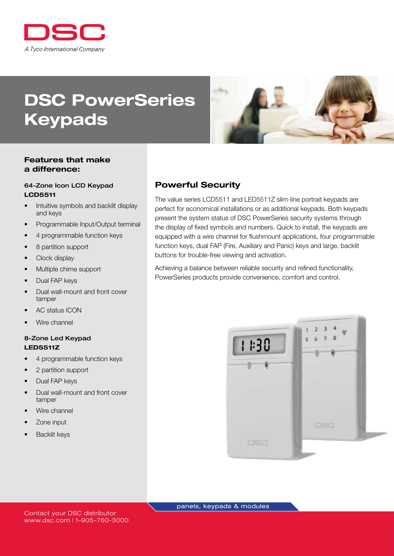

# DSC PowerSeries Keypads



#### Features that make a difference:

#### 64-Zone Icon LCD Keypad LCD5511

- Intuitive symbols and backlit display and keys
- Programmable Input/Output terminal
- 4 programmable function keys
- 8 partition support
- Clock display
- Multiple chime support
- Dual FAP keys
- Dual wall-mount and front cover tamper
- AC status ICON
- Wire channel

#### 8-Zone Led Keypad LED5511Z

- 4 programmable function keys
- 2 partition support
- Dual FAP keys
- Dual wall-mount and front cover tamper
- Wire channel
- Zone input
- **Backlit keys**

## Powerful Security

The value series LCD5511 and LED5511Z slim-line portrait keypads are perfect for economical installations or as additional keypads. Both keypads present the system status of DSC PowerSeries security systems through the display of fixed symbols and numbers. Quick to install, the keypads are equipped with a wire channel for flushmount applications, four programmable function keys, dual FAP (Fire, Auxiliary and Panic) keys and large, backlit buttons for trouble-free viewing and activation.

Achieving a balance between reliable security and refined functionality, PowerSeries products provide convenience, comfort and control.